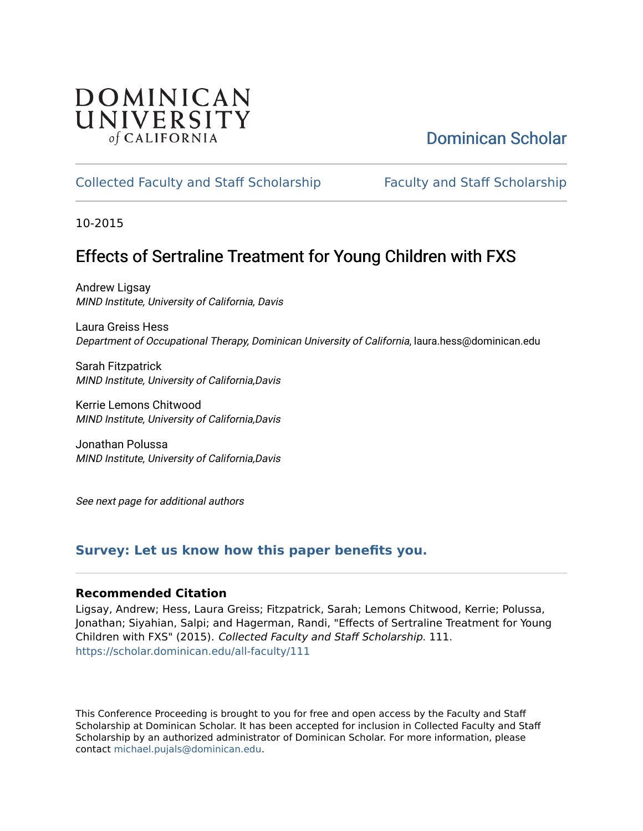# DOMINICAN UNIVERSITY of CALIFORNIA

# [Dominican Scholar](https://scholar.dominican.edu/)

# [Collected Faculty and Staff Scholarship](https://scholar.dominican.edu/all-faculty) [Faculty and Staff Scholarship](https://scholar.dominican.edu/faculty-scholarship)

10-2015

# Effects of Sertraline Treatment for Young Children with FXS

Andrew Ligsay MIND Institute, University of California, Davis

Laura Greiss Hess Department of Occupational Therapy, Dominican University of California, laura.hess@dominican.edu

Sarah Fitzpatrick MIND Institute, University of California,Davis

Kerrie Lemons Chitwood MIND Institute, University of California,Davis

Jonathan Polussa MIND Institute, University of California,Davis

See next page for additional authors

## **[Survey: Let us know how this paper benefits you.](https://dominican.libwizard.com/dominican-scholar-feedback)**

### **Recommended Citation**

Ligsay, Andrew; Hess, Laura Greiss; Fitzpatrick, Sarah; Lemons Chitwood, Kerrie; Polussa, Jonathan; Siyahian, Salpi; and Hagerman, Randi, "Effects of Sertraline Treatment for Young Children with FXS" (2015). Collected Faculty and Staff Scholarship. 111. [https://scholar.dominican.edu/all-faculty/111](https://scholar.dominican.edu/all-faculty/111?utm_source=scholar.dominican.edu%2Fall-faculty%2F111&utm_medium=PDF&utm_campaign=PDFCoverPages) 

This Conference Proceeding is brought to you for free and open access by the Faculty and Staff Scholarship at Dominican Scholar. It has been accepted for inclusion in Collected Faculty and Staff Scholarship by an authorized administrator of Dominican Scholar. For more information, please contact [michael.pujals@dominican.edu](mailto:michael.pujals@dominican.edu).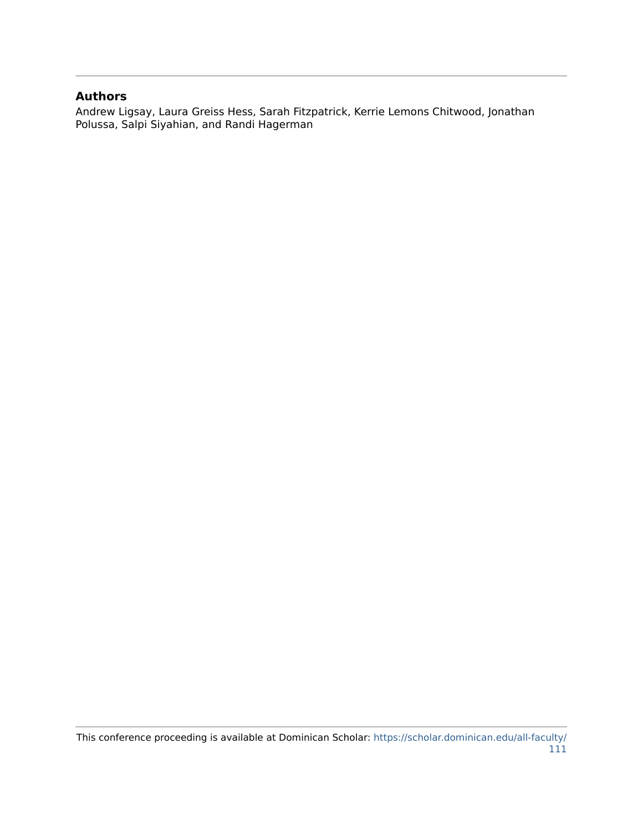### **Authors**

Andrew Ligsay, Laura Greiss Hess, Sarah Fitzpatrick, Kerrie Lemons Chitwood, Jonathan Polussa, Salpi Siyahian, and Randi Hagerman